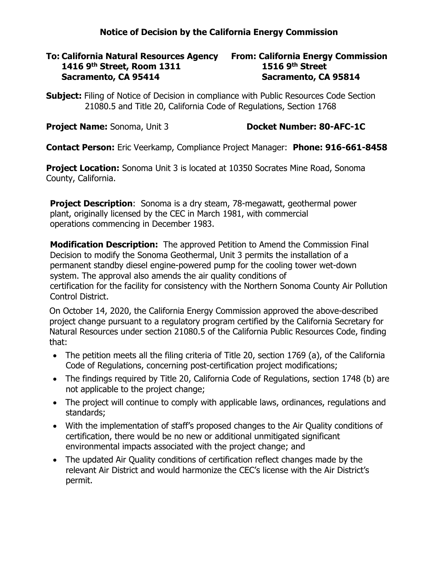## **Notice of Decision by the California Energy Commission**

## **To: California Natural Resources Agency From: California Energy Commission 1416 9th Street, Room 1311 1516 9th Street Sacramento, CA 95414 Sacramento, CA 95814**

**Subject:** Filing of Notice of Decision in compliance with Public Resources Code Section 21080.5 and Title 20, California Code of Regulations, Section 1768

**Project Name:** Sonoma, Unit 3 **Docket Number: 80-AFC-1C** 

**Contact Person:** Eric Veerkamp, Compliance Project Manager: **Phone: 916-661-8458**

**Project Location:** Sonoma Unit 3 is located at 10350 Socrates Mine Road, Sonoma County, California.

**Project Description:** Sonoma is a dry steam, 78-megawatt, geothermal power plant, originally licensed by the CEC in March 1981, with commercial operations commencing in December 1983.

**Modification Description:** The approved Petition to Amend the Commission Final Decision to modify the Sonoma Geothermal, Unit 3 permits the installation of a permanent standby diesel engine-powered pump for the cooling tower wet-down system. The approval also amends the air quality conditions of certification for the facility for consistency with the Northern Sonoma County Air Pollution Control District.

On October 14, 2020, the California Energy Commission approved the above-described project change pursuant to a regulatory program certified by the California Secretary for Natural Resources under section 21080.5 of the California Public Resources Code, finding that:

- The petition meets all the filing criteria of Title 20, section 1769 (a), of the California Code of Regulations, concerning post-certification project modifications;
- The findings required by Title 20, California Code of Regulations, section 1748 (b) are not applicable to the project change;
- The project will continue to comply with applicable laws, ordinances, regulations and standards;
- With the implementation of staff's proposed changes to the Air Quality conditions of certification, there would be no new or additional unmitigated significant environmental impacts associated with the project change; and
- The updated Air Quality conditions of certification reflect changes made by the relevant Air District and would harmonize the CEC's license with the Air District's permit.